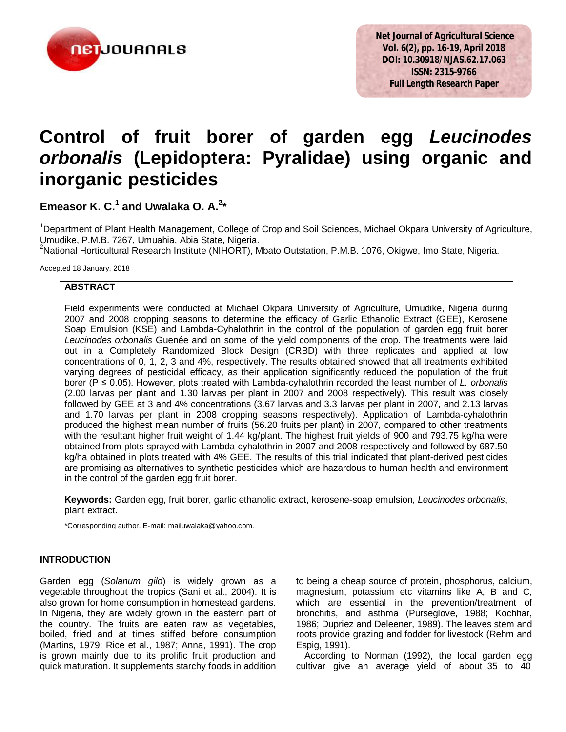

# **Control of fruit borer of garden egg** *Leucinodes orbonalis* **(Lepidoptera: Pyralidae) using organic and inorganic pesticides**

**Emeasor K. C.<sup>1</sup> and Uwalaka O. A.<sup>2</sup> \***

<sup>1</sup>Department of Plant Health Management, College of Crop and Soil Sciences, Michael Okpara University of Agriculture, Umudike, P.M.B. 7267, Umuahia, Abia State, Nigeria.

<sup>2</sup>National Horticultural Research Institute (NIHORT), Mbato Outstation, P.M.B. 1076, Okigwe, Imo State, Nigeria.

Accepted 18 January, 2018

## **ABSTRACT**

Field experiments were conducted at Michael Okpara University of Agriculture, Umudike, Nigeria during 2007 and 2008 cropping seasons to determine the efficacy of Garlic Ethanolic Extract (GEE), Kerosene Soap Emulsion (KSE) and Lambda-Cyhalothrin in the control of the population of garden egg fruit borer *Leucinodes orbonalis* Guenée and on some of the yield components of the crop. The treatments were laid out in a Completely Randomized Block Design (CRBD) with three replicates and applied at low concentrations of 0, 1, 2, 3 and 4%, respectively. The results obtained showed that all treatments exhibited varying degrees of pesticidal efficacy, as their application significantly reduced the population of the fruit borer (P ≤ 0.05). However, plots treated with Lambda-cyhalothrin recorded the least number of *L. orbonalis* (2.00 larvas per plant and 1.30 larvas per plant in 2007 and 2008 respectively). This result was closely followed by GEE at 3 and 4% concentrations (3.67 larvas and 3.3 larvas per plant in 2007, and 2.13 larvas and 1.70 larvas per plant in 2008 cropping seasons respectively). Application of Lambda-cyhalothrin produced the highest mean number of fruits (56.20 fruits per plant) in 2007, compared to other treatments with the resultant higher fruit weight of 1.44 kg/plant. The highest fruit yields of 900 and 793.75 kg/ha were obtained from plots sprayed with Lambda-cyhalothrin in 2007 and 2008 respectively and followed by 687.50 kg/ha obtained in plots treated with 4% GEE. The results of this trial indicated that plant-derived pesticides are promising as alternatives to synthetic pesticides which are hazardous to human health and environment in the control of the garden egg fruit borer.

**Keywords:** Garden egg, fruit borer, garlic ethanolic extract, kerosene-soap emulsion, *Leucinodes orbonalis*, plant extract.

\*Corresponding author. E-mail: mailuwalaka@yahoo.com.

## **INTRODUCTION**

Garden egg (*Solanum gilo*) is widely grown as a vegetable throughout the tropics (Sani et al., 2004). It is also grown for home consumption in homestead gardens. In Nigeria, they are widely grown in the eastern part of the country. The fruits are eaten raw as vegetables, boiled, fried and at times stiffed before consumption (Martins, 1979; Rice et al., 1987; Anna, 1991). The crop is grown mainly due to its prolific fruit production and quick maturation. It supplements starchy foods in addition

to being a cheap source of protein, phosphorus, calcium, magnesium, potassium etc vitamins like A, B and C, which are essential in the prevention/treatment of bronchitis, and asthma (Purseglove, 1988; Kochhar, 1986; Dupriez and Deleener, 1989). The leaves stem and roots provide grazing and fodder for livestock (Rehm and Espig, 1991).

According to Norman (1992), the local garden egg cultivar give an average yield of about 35 to 40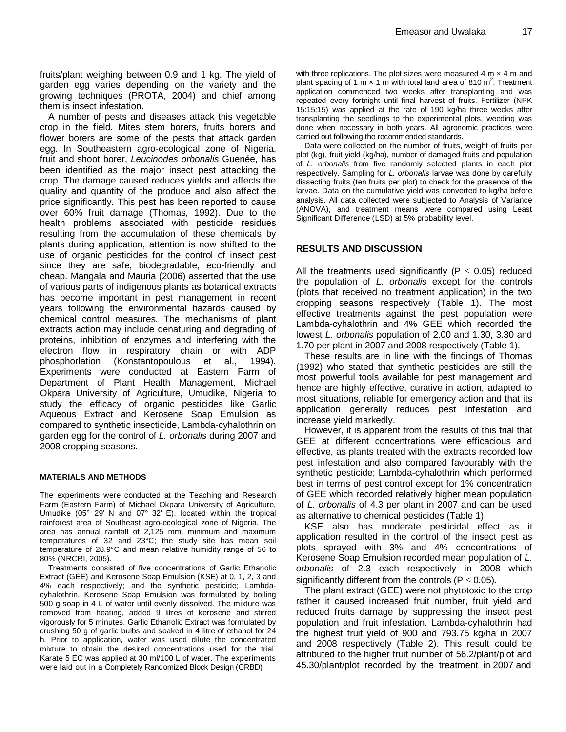fruits/plant weighing between 0.9 and 1 kg. The yield of garden egg varies depending on the variety and the growing techniques (PROTA, 2004) and chief among them is insect infestation.

A number of pests and diseases attack this vegetable crop in the field. Mites stem borers, fruits borers and flower borers are some of the pests that attack garden egg. In Southeastern agro-ecological zone of Nigeria, fruit and shoot borer, *Leucinodes orbonalis* Guenée, has been identified as the major insect pest attacking the crop. The damage caused reduces yields and affects the quality and quantity of the produce and also affect the price significantly. This pest has been reported to cause over 60% fruit damage (Thomas, 1992). Due to the health problems associated with pesticide residues resulting from the accumulation of these chemicals by plants during application, attention is now shifted to the use of organic pesticides for the control of insect pest since they are safe, biodegradable, eco-friendly and cheap. Mangala and Mauria (2006) asserted that the use of various parts of indigenous plants as botanical extracts has become important in pest management in recent years following the environmental hazards caused by chemical control measures. The mechanisms of plant extracts action may include denaturing and degrading of proteins, inhibition of enzymes and interfering with the electron flow in respiratory chain or with ADP phosphorlation (Konstantopoulous et al., 1994). Experiments were conducted at Eastern Farm of Department of Plant Health Management, Michael Okpara University of Agriculture, Umudike, Nigeria to study the efficacy of organic pesticides like Garlic Aqueous Extract and Kerosene Soap Emulsion as compared to synthetic insecticide, Lambda-cyhalothrin on garden egg for the control of *L. orbonalis* during 2007 and 2008 cropping seasons.

#### **MATERIALS AND METHODS**

The experiments were conducted at the Teaching and Research Farm (Eastern Farm) of Michael Okpara University of Agriculture, Umudike (05° 29' N and 07° 32' E), located within the tropical rainforest area of Southeast agro-ecological zone of Nigeria. The area has annual rainfall of 2,125 mm, minimum and maximum temperatures of 32 and 23°C; the study site has mean soil temperature of 28.9°C and mean relative humidity range of 56 to 80% (NRCRI, 2005).

Treatments consisted of five concentrations of Garlic Ethanolic Extract (GEE) and Kerosene Soap Emulsion (KSE) at 0, 1, 2, 3 and 4% each respectively; and the synthetic pesticide; Lambdacyhalothrin. Kerosene Soap Emulsion was formulated by boiling 500 g soap in 4 L of water until evenly dissolved. The mixture was removed from heating, added 9 litres of kerosene and stirred vigorously for 5 minutes. Garlic Ethanolic Extract was formulated by crushing 50 g of garlic bulbs and soaked in 4 litre of ethanol for 24 h. Prior to application, water was used dilute the concentrated mixture to obtain the desired concentrations used for the trial. Karate 5 EC was applied at 30 ml/100 L of water. The experiments were laid out in a Completely Randomized Block Design (CRBD)

with three replications. The plot sizes were measured 4  $m \times 4$  m and plant spacing of 1 m  $\times$  1 m with total land area of 810 m<sup>2</sup>. Treatment application commenced two weeks after transplanting and was repeated every fortnight until final harvest of fruits. Fertilizer (NPK 15:15:15) was applied at the rate of 190 kg/ha three weeks after transplanting the seedlings to the experimental plots, weeding was done when necessary in both years. All agronomic practices were carried out following the recommended standards.

Data were collected on the number of fruits, weight of fruits per plot (kg), fruit yield (kg/ha), number of damaged fruits and population of *L. orbonalis* from five randomly selected plants in each plot respectively. Sampling for *L. orbonalis* larvae was done by carefully dissecting fruits (ten fruits per plot) to check for the presence of the larvae. Data on the cumulative yield was converted to kg/ha before analysis. All data collected were subjected to Analysis of Variance (ANOVA), and treatment means were compared using Least Significant Difference (LSD) at 5% probability level.

### **RESULTS AND DISCUSSION**

All the treatments used significantly ( $P \le 0.05$ ) reduced the population of *L. orbonalis* except for the controls (plots that received no treatment application) in the two cropping seasons respectively (Table 1). The most effective treatments against the pest population were Lambda-cyhalothrin and 4% GEE which recorded the lowest *L. orbonalis* population of 2.00 and 1.30, 3.30 and 1.70 per plant in 2007 and 2008 respectively (Table 1).

These results are in line with the findings of Thomas (1992) who stated that synthetic pesticides are still the most powerful tools available for pest management and hence are highly effective, curative in action, adapted to most situations, reliable for emergency action and that its application generally reduces pest infestation and increase yield markedly.

However, it is apparent from the results of this trial that GEE at different concentrations were efficacious and effective, as plants treated with the extracts recorded low pest infestation and also compared favourably with the synthetic pesticide; Lambda-cyhalothrin which performed best in terms of pest control except for 1% concentration of GEE which recorded relatively higher mean population of *L. orbonalis* of 4.3 per plant in 2007 and can be used as alternative to chemical pesticides (Table 1).

KSE also has moderate pesticidal effect as it application resulted in the control of the insect pest as plots sprayed with 3% and 4% concentrations of Kerosene Soap Emulsion recorded mean population of *L. orbonalis* of 2.3 each respectively in 2008 which significantly different from the controls ( $P \le 0.05$ ).

The plant extract (GEE) were not phytotoxic to the crop rather it caused increased fruit number, fruit yield and reduced fruits damage by suppressing the insect pest population and fruit infestation. Lambda-cyhalothrin had the highest fruit yield of 900 and 793.75 kg/ha in 2007 and 2008 respectively (Table 2). This result could be attributed to the higher fruit number of 56.2/plant/plot and 45.30/plant/plot recorded by the treatment in 2007 and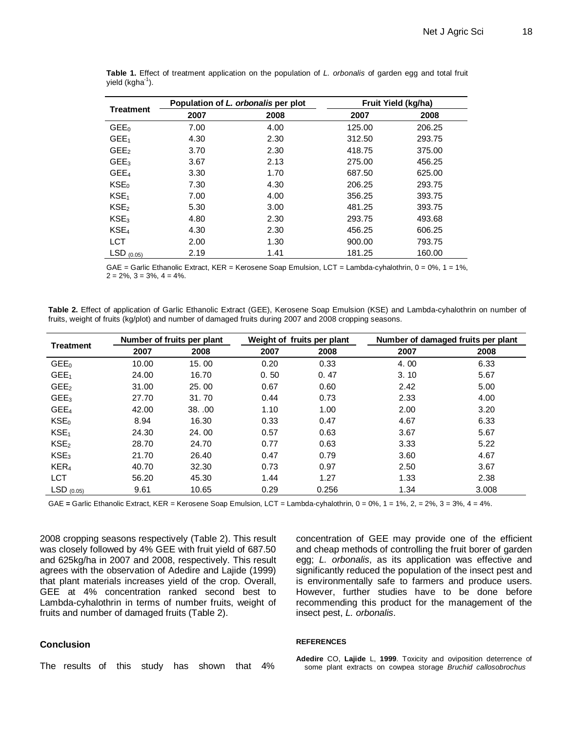| <b>Treatment</b> |      | Population of L. orbonalis per plot | Fruit Yield (kg/ha) |        |  |
|------------------|------|-------------------------------------|---------------------|--------|--|
|                  | 2007 | 2008                                | 2007                | 2008   |  |
| GEE <sub>0</sub> | 7.00 | 4.00                                | 125.00              | 206.25 |  |
| GEE <sub>1</sub> | 4.30 | 2.30                                | 312.50              | 293.75 |  |
| GEE <sub>2</sub> | 3.70 | 2.30                                | 418.75              | 375.00 |  |
| GEE <sub>3</sub> | 3.67 | 2.13                                | 275.00              | 456.25 |  |
| GEE <sub>4</sub> | 3.30 | 1.70                                | 687.50              | 625.00 |  |
| KSE <sub>0</sub> | 7.30 | 4.30                                | 206.25              | 293.75 |  |
| KSE <sub>1</sub> | 7.00 | 4.00                                | 356.25              | 393.75 |  |
| KSE <sub>2</sub> | 5.30 | 3.00                                | 481.25              | 393.75 |  |
| KSE <sub>3</sub> | 4.80 | 2.30                                | 293.75              | 493.68 |  |
| KSE <sub>4</sub> | 4.30 | 2.30                                | 456.25              | 606.25 |  |
| <b>LCT</b>       | 2.00 | 1.30                                | 900.00              | 793.75 |  |
| $LSD$ (0.05)     | 2.19 | 1.41                                | 181.25              | 160.00 |  |

**Table 1.** Effect of treatment application on the population of *L. orbonalis* of garden egg and total fruit yield (kgha<sup>-1</sup>).

GAE = Garlic Ethanolic Extract, KER = Kerosene Soap Emulsion, LCT = Lambda-cyhalothrin,  $0 = 0\%, 1 = 1\%,$  $2 = 2\%, 3 = 3\%, 4 = 4\%$ .

|  |  | Table 2. Effect of application of Garlic Ethanolic Extract (GEE), Kerosene Soap Emulsion (KSE) and Lambda-cyhalothrin on number of |  |  |  |  |
|--|--|------------------------------------------------------------------------------------------------------------------------------------|--|--|--|--|
|  |  | fruits, weight of fruits (kg/plot) and number of damaged fruits during 2007 and 2008 cropping seasons.                             |  |  |  |  |

| <b>Treatment</b> | Number of fruits per plant |       | Weight of fruits per plant |       | Number of damaged fruits per plant |       |  |
|------------------|----------------------------|-------|----------------------------|-------|------------------------------------|-------|--|
|                  | 2007                       | 2008  | 2007                       | 2008  | 2007                               | 2008  |  |
| GEE <sub>0</sub> | 10.00                      | 15.00 | 0.20                       | 0.33  | 4.00                               | 6.33  |  |
| GEE <sub>1</sub> | 24.00                      | 16.70 | 0.50                       | 0.47  | 3.10                               | 5.67  |  |
| GEE <sub>2</sub> | 31.00                      | 25.00 | 0.67                       | 0.60  | 2.42                               | 5.00  |  |
| GEE <sub>3</sub> | 27.70                      | 31.70 | 0.44                       | 0.73  | 2.33                               | 4.00  |  |
| GEE <sub>4</sub> | 42.00                      | 38.00 | 1.10                       | 1.00  | 2.00                               | 3.20  |  |
| KSE <sub>0</sub> | 8.94                       | 16.30 | 0.33                       | 0.47  | 4.67                               | 6.33  |  |
| KSE <sub>1</sub> | 24.30                      | 24.00 | 0.57                       | 0.63  | 3.67                               | 5.67  |  |
| KSE <sub>2</sub> | 28.70                      | 24.70 | 0.77                       | 0.63  | 3.33                               | 5.22  |  |
| KSE <sub>3</sub> | 21.70                      | 26.40 | 0.47                       | 0.79  | 3.60                               | 4.67  |  |
| KER <sub>4</sub> | 40.70                      | 32.30 | 0.73                       | 0.97  | 2.50                               | 3.67  |  |
| <b>LCT</b>       | 56.20                      | 45.30 | 1.44                       | 1.27  | 1.33                               | 2.38  |  |
| $LSD$ (0.05)     | 9.61                       | 10.65 | 0.29                       | 0.256 | 1.34                               | 3.008 |  |

GAE **=** Garlic Ethanolic Extract, KER = Kerosene Soap Emulsion, LCT = Lambda-cyhalothrin, 0 = 0%, 1 = 1%, 2, = 2%, 3 = 3%, 4 = 4%.

2008 cropping seasons respectively (Table 2). This result was closely followed by 4% GEE with fruit yield of 687.50 and 625kg/ha in 2007 and 2008, respectively. This result agrees with the observation of Adedire and Lajide (1999) that plant materials increases yield of the crop. Overall, GEE at 4% concentration ranked second best to Lambda-cyhalothrin in terms of number fruits, weight of fruits and number of damaged fruits (Table 2).

## **Conclusion**

The results of this study has shown that 4%

concentration of GEE may provide one of the efficient and cheap methods of controlling the fruit borer of garden egg; *L. orbonalis*, as its application was effective and significantly reduced the population of the insect pest and is environmentally safe to farmers and produce users. However, further studies have to be done before recommending this product for the management of the insect pest, *L. orbonalis*.

#### **REFERENCES**

**Adedire** CO, **Lajide** L, **1999**. Toxicity and oviposition deterrence of some plant extracts on cowpea storage *Bruchid callosobrochus*